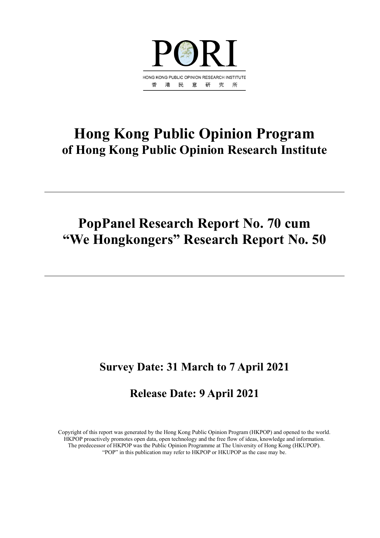

## **Hong Kong Public Opinion Program of Hong Kong Public Opinion Research Institute**

## **PopPanel Research Report No. 70 cum "We Hongkongers" Research Report No. 50**

## **Survey Date: 31 March to 7 April 2021**

## **Release Date: 9 April 2021**

Copyright of this report was generated by the Hong Kong Public Opinion Program (HKPOP) and opened to the world. HKPOP proactively promotes open data, open technology and the free flow of ideas, knowledge and information. The predecessor of HKPOP was the Public Opinion Programme at The University of Hong Kong (HKUPOP). "POP" in this publication may refer to HKPOP or HKUPOP as the case may be.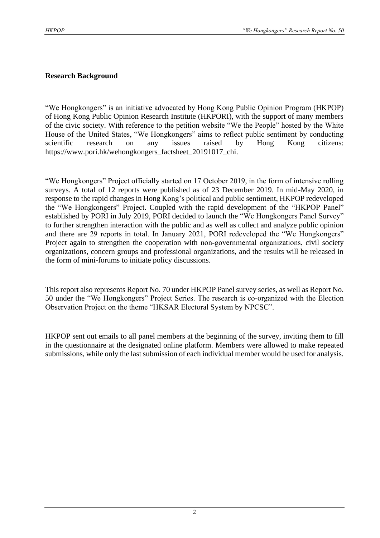#### **Research Background**

"We Hongkongers" is an initiative advocated by Hong Kong Public Opinion Program (HKPOP) of Hong Kong Public Opinion Research Institute (HKPORI), with the support of many members of the civic society. With reference to the petition website "We the People" hosted by the White House of the United States, "We Hongkongers" aims to reflect public sentiment by conducting scientific research on any issues raised by Hong Kong citizens: https://www.pori.hk/wehongkongers\_factsheet\_20191017\_chi.

"We Hongkongers" Project officially started on 17 October 2019, in the form of intensive rolling surveys. A total of 12 reports were published as of 23 December 2019. In mid-May 2020, in response to the rapid changes in Hong Kong's political and public sentiment, HKPOP redeveloped the "We Hongkongers" Project. Coupled with the rapid development of the "HKPOP Panel" established by PORI in July 2019, PORI decided to launch the "We Hongkongers Panel Survey" to further strengthen interaction with the public and as well as collect and analyze public opinion and there are 29 reports in total. In January 2021, PORI redeveloped the "We Hongkongers" Project again to strengthen the cooperation with non-governmental organizations, civil society organizations, concern groups and professional organizations, and the results will be released in the form of mini-forums to initiate policy discussions.

This report also represents Report No. 70 under HKPOP Panel survey series, as well as Report No. 50 under the "We Hongkongers" Project Series. The research is co-organized with the Election Observation Project on the theme "HKSAR Electoral System by NPCSC".

HKPOP sent out emails to all panel members at the beginning of the survey, inviting them to fill in the questionnaire at the designated online platform. Members were allowed to make repeated submissions, while only the last submission of each individual member would be used for analysis.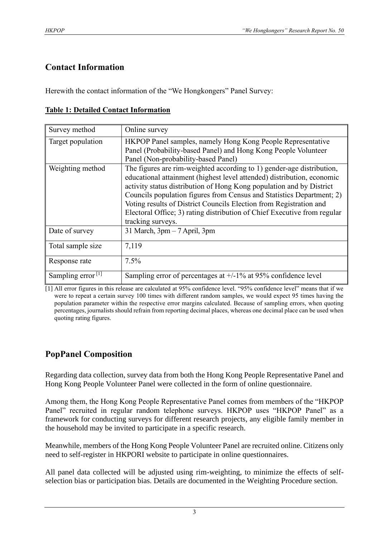#### **Contact Information**

Herewith the contact information of the "We Hongkongers" Panel Survey:

| Survey method        | Online survey                                                                                                                                                                                                                                                                                                                                                                                                                                                           |
|----------------------|-------------------------------------------------------------------------------------------------------------------------------------------------------------------------------------------------------------------------------------------------------------------------------------------------------------------------------------------------------------------------------------------------------------------------------------------------------------------------|
| Target population    | HKPOP Panel samples, namely Hong Kong People Representative<br>Panel (Probability-based Panel) and Hong Kong People Volunteer<br>Panel (Non-probability-based Panel)                                                                                                                                                                                                                                                                                                    |
| Weighting method     | The figures are rim-weighted according to 1) gender-age distribution,<br>educational attainment (highest level attended) distribution, economic<br>activity status distribution of Hong Kong population and by District<br>Councils population figures from Census and Statistics Department; 2)<br>Voting results of District Councils Election from Registration and<br>Electoral Office; 3) rating distribution of Chief Executive from regular<br>tracking surveys. |
| Date of survey       | 31 March, 3pm - 7 April, 3pm                                                                                                                                                                                                                                                                                                                                                                                                                                            |
| Total sample size    | 7,119                                                                                                                                                                                                                                                                                                                                                                                                                                                                   |
| Response rate        | 7.5%                                                                                                                                                                                                                                                                                                                                                                                                                                                                    |
| Sampling error $[1]$ | Sampling error of percentages at $+/-1\%$ at 95% confidence level                                                                                                                                                                                                                                                                                                                                                                                                       |

[1] All error figures in this release are calculated at 95% confidence level. "95% confidence level" means that if we were to repeat a certain survey 100 times with different random samples, we would expect 95 times having the population parameter within the respective error margins calculated. Because of sampling errors, when quoting percentages, journalists should refrain from reporting decimal places, whereas one decimal place can be used when quoting rating figures.

### **PopPanel Composition**

Regarding data collection, survey data from both the Hong Kong People Representative Panel and Hong Kong People Volunteer Panel were collected in the form of online questionnaire.

Among them, the Hong Kong People Representative Panel comes from members of the "HKPOP Panel" recruited in regular random telephone surveys. HKPOP uses "HKPOP Panel" as a framework for conducting surveys for different research projects, any eligible family member in the household may be invited to participate in a specific research.

Meanwhile, members of the Hong Kong People Volunteer Panel are recruited online. Citizens only need to self-register in HKPORI website to participate in online questionnaires.

All panel data collected will be adjusted using rim-weighting, to minimize the effects of selfselection bias or participation bias. Details are documented in the Weighting Procedure section.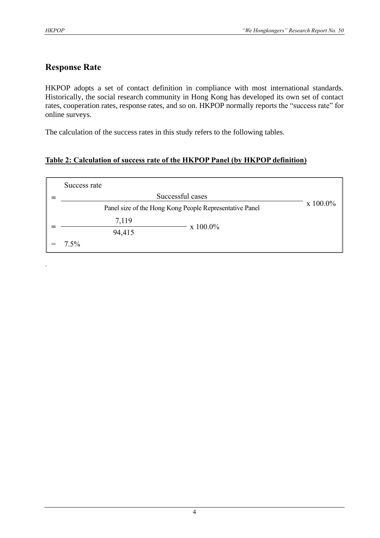.

#### **Response Rate**

HKPOP adopts a set of contact definition in compliance with most international standards. Historically, the social research community in Hong Kong has developed its own set of contact rates, cooperation rates, response rates, and so on. HKPOP normally reports the "success rate" for online surveys.

The calculation of the success rates in this study refers to the following tables.

#### **Table 2: Calculation of success rate of the HKPOP Panel (by HKPOP definition)**

| Success rate                                            |                  |  |  |  |  |  |  |  |  |  |  |  |
|---------------------------------------------------------|------------------|--|--|--|--|--|--|--|--|--|--|--|
| Successful cases                                        |                  |  |  |  |  |  |  |  |  |  |  |  |
| Panel size of the Hong Kong People Representative Panel | $\rm x\;100.0\%$ |  |  |  |  |  |  |  |  |  |  |  |
| 7,119                                                   | $\rm x 100.0\%$  |  |  |  |  |  |  |  |  |  |  |  |
| 94,415                                                  |                  |  |  |  |  |  |  |  |  |  |  |  |
| $7.5\%$                                                 |                  |  |  |  |  |  |  |  |  |  |  |  |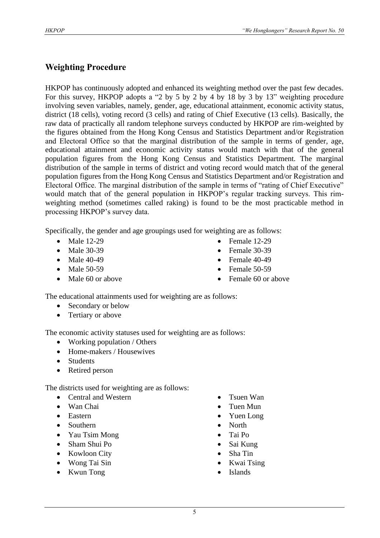#### **Weighting Procedure**

HKPOP has continuously adopted and enhanced its weighting method over the past few decades. For this survey, HKPOP adopts a "2 by 5 by 2 by 4 by 18 by 3 by 13" weighting procedure involving seven variables, namely, gender, age, educational attainment, economic activity status, district (18 cells), voting record (3 cells) and rating of Chief Executive (13 cells). Basically, the raw data of practically all random telephone surveys conducted by HKPOP are rim-weighted by the figures obtained from the Hong Kong Census and Statistics Department and/or Registration and Electoral Office so that the marginal distribution of the sample in terms of gender, age, educational attainment and economic activity status would match with that of the general population figures from the Hong Kong Census and Statistics Department. The marginal distribution of the sample in terms of district and voting record would match that of the general population figures from the Hong Kong Census and Statistics Department and/or Registration and Electoral Office. The marginal distribution of the sample in terms of "rating of Chief Executive" would match that of the general population in HKPOP's regular tracking surveys. This rimweighting method (sometimes called raking) is found to be the most practicable method in processing HKPOP's survey data.

Specifically, the gender and age groupings used for weighting are as follows:

- Male 12-29
- Male 30-39
- Male 40-49
- Male 50-59
- Male 60 or above
- Female 12-29
- Female 30-39
- Female  $40-49$
- Female 50-59
- Female 60 or above

The educational attainments used for weighting are as follows:

- Secondary or below
- Tertiary or above

The economic activity statuses used for weighting are as follows:

- Working population / Others
- Home-makers / Housewives
- Students
- Retired person

The districts used for weighting are as follows:

- Central and Western
- Wan Chai
- Eastern
- Southern
- Yau Tsim Mong
- Sham Shui Po
- Kowloon City
- Wong Tai Sin
- Kwun Tong
- Tsuen Wan
- Tuen Mun
- Yuen Long
- North
- Tai Po
- Sai Kung
- Sha Tin
- Kwai Tsing
- **Islands**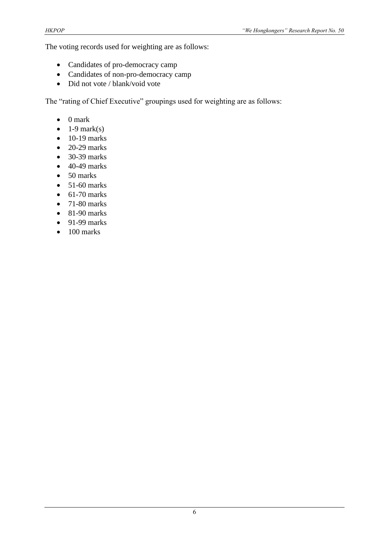The voting records used for weighting are as follows:

- Candidates of pro-democracy camp
- Candidates of non-pro-democracy camp
- Did not vote / blank/void vote

The "rating of Chief Executive" groupings used for weighting are as follows:

- 0 mark
- $\bullet$  1-9 mark(s)
- $\bullet$  10-19 marks
- $\bullet$  20-29 marks
- 30-39 marks
- $\bullet$  40-49 marks
- 50 marks
- $\bullet$  51-60 marks
- $\bullet$  61-70 marks
- $\bullet$  71-80 marks
- $\bullet$  81-90 marks
- $\bullet$  91-99 marks
- $\bullet$  100 marks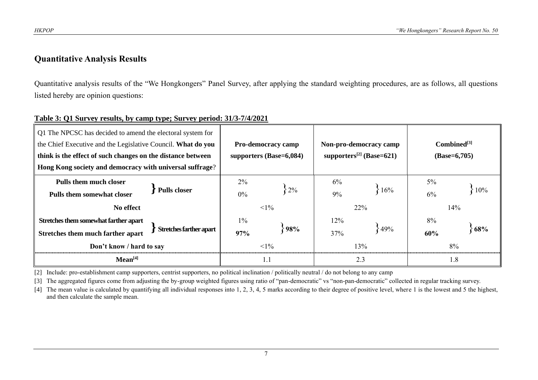#### **Quantitative Analysis Results**

Quantitative analysis results of the "We Hongkongers" Panel Survey, after applying the standard weighting procedures, are as follows, all questions listed hereby are opinion questions:

#### **Table 3: Q1 Survey results, by camp type; Survey period: 31/3-7/4/2021**

| Q1 The NPCSC has decided to amend the electoral system for<br>the Chief Executive and the Legislative Council. What do you<br>think is the effect of such changes on the distance between<br>Hong Kong society and democracy with universal suffrage? |     | <b>Pro-democracy camp</b><br>supporters $(Base=6,084)$ |       |            | Non-pro-democracy camp<br>supporters <sup>[2]</sup> (Base=621) | $Combined^{[3]}$<br>$(Base=6,705)$ |            |  |
|-------------------------------------------------------------------------------------------------------------------------------------------------------------------------------------------------------------------------------------------------------|-----|--------------------------------------------------------|-------|------------|----------------------------------------------------------------|------------------------------------|------------|--|
| <b>Pulls them much closer</b><br><b>Pulls closer</b><br><b>Pulls them somewhat closer</b><br>No effect                                                                                                                                                |     | $2\%$<br>$0\%$<br>$<1\%$                               | $2\%$ | 6%<br>9%   | 16%<br>22%                                                     | $5\%$<br>6%                        | 10%<br>14% |  |
| Stretches them somewhat farther apart<br>Stretches farther apart<br>Stretches them much farther apart<br>Don't know / hard to say                                                                                                                     |     | $1\%$<br>97%<br>$1\%$                                  | 98%   | 12%<br>37% | 49%<br>13%                                                     | 8%<br>60%                          | 68%<br>8%  |  |
| Mean <sup>[4]</sup>                                                                                                                                                                                                                                   | 1.1 |                                                        |       | 2.3        | 1.8                                                            |                                    |            |  |

[2] Include: pro-establishment camp supporters, centrist supporters, no political inclination / politically neutral / do not belong to any camp

[3] The aggregated figures come from adjusting the by-group weighted figures using ratio of "pan-democratic" vs "non-pan-democratic" collected in regular tracking survey.

[4] The mean value is calculated by quantifying all individual responses into 1, 2, 3, 4, 5 marks according to their degree of positive level, where 1 is the lowest and 5 the highest, and then calculate the sample mean.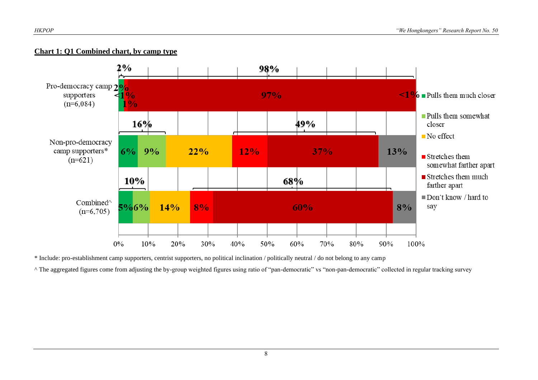#### **Chart 1: Q1 Combined chart, by camp type**



\* Include: pro-establishment camp supporters, centrist supporters, no political inclination / politically neutral / do not belong to any camp

^ The aggregated figures come from adjusting the by-group weighted figures using ratio of "pan-democratic" vs "non-pan-democratic" collected in regular tracking survey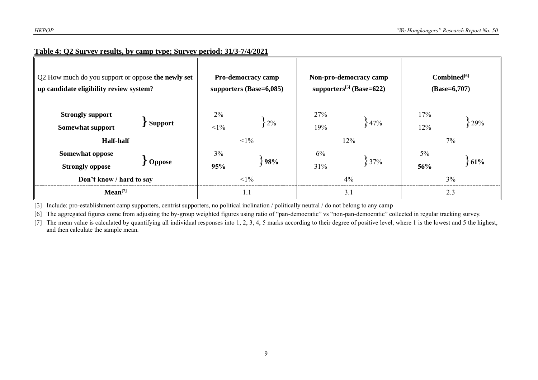| Q2 How much do you support or oppose the newly set<br>up candidate eligibility review system? |                |                     | Pro-democracy camp<br>supporters $(Base=6,085)$ |            | Non-pro-democracy camp<br>supporters <sup>[5]</sup> (Base=622) | Combined <sup>[6]</sup><br>$(Base=6,707)$ |              |  |
|-----------------------------------------------------------------------------------------------|----------------|---------------------|-------------------------------------------------|------------|----------------------------------------------------------------|-------------------------------------------|--------------|--|
| <b>Strongly support</b><br><b>Somewhat support</b>                                            | <b>Support</b> | 2%<br>$<1\%$        | $2\%$<br>$<1\%$                                 | 27%<br>19% | 47%                                                            | 17%<br>12%                                | 29%          |  |
| <b>Half-half</b><br><b>Somewhat oppose</b><br><b>Oppose</b><br><b>Strongly oppose</b>         |                | $3\%$<br>98%<br>95% |                                                 | 6%<br>31%  | 12%<br>37%                                                     | $5\%$<br>56%                              | 7%<br>$61\%$ |  |
| Don't know / hard to say                                                                      |                | $<1\%$              |                                                 | 4%         | 3%                                                             |                                           |              |  |
| Mean <sup>[7]</sup>                                                                           |                | 1.1                 |                                                 | 3.1        | 2.3                                                            |                                           |              |  |

#### **Table 4: Q2 Survey results, by camp type; Survey period: 31/3-7/4/2021**

[5] Include: pro-establishment camp supporters, centrist supporters, no political inclination / politically neutral / do not belong to any camp

[6] The aggregated figures come from adjusting the by-group weighted figures using ratio of "pan-democratic" vs "non-pan-democratic" collected in regular tracking survey.

[7] The mean value is calculated by quantifying all individual responses into 1, 2, 3, 4, 5 marks according to their degree of positive level, where 1 is the lowest and 5 the highest, and then calculate the sample mean.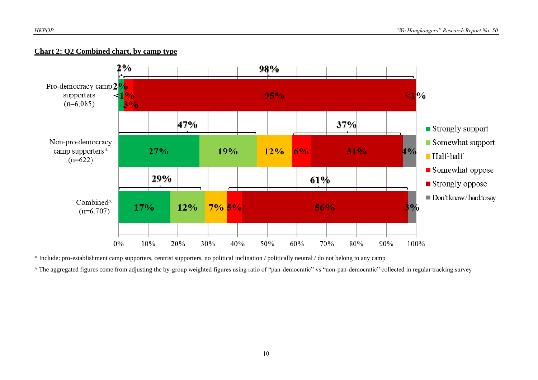#### **Chart 2: Q2 Combined chart, by camp type**



\* Include: pro-establishment camp supporters, centrist supporters, no political inclination / politically neutral / do not belong to any camp

^ The aggregated figures come from adjusting the by-group weighted figures using ratio of "pan-democratic" vs "non-pan-democratic" collected in regular tracking survey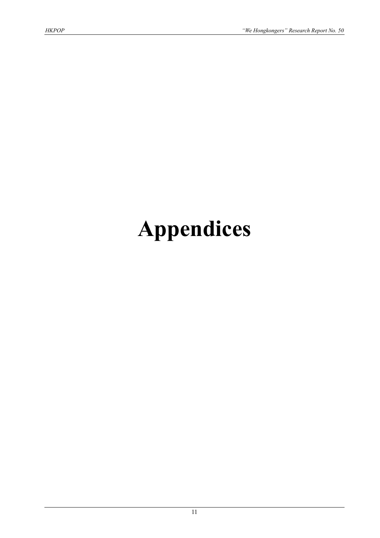# **Appendices**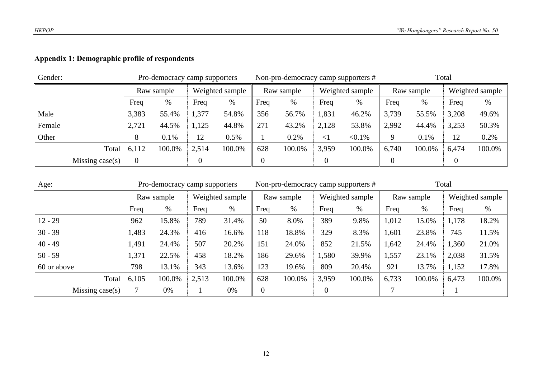#### **Appendix 1: Demographic profile of respondents**

| Gender: |                    |            | Pro-democracy camp supporters |                 |        |            |        |                 | Non-pro-democracy camp supporters # | Total      |        |       |                 |
|---------|--------------------|------------|-------------------------------|-----------------|--------|------------|--------|-----------------|-------------------------------------|------------|--------|-------|-----------------|
|         |                    | Raw sample |                               | Weighted sample |        | Raw sample |        | Weighted sample |                                     | Raw sample |        |       | Weighted sample |
|         |                    | Freq       | %                             | Freq            | %      | Freq       | %      | Freq            | %                                   | Freq       | $\%$   | Freq  | $\%$            |
| Male    |                    | 3,383      | 55.4%                         | 1,377           | 54.8%  | 356        | 56.7%  | 1,831           | 46.2%                               | 3,739      | 55.5%  | 3,208 | 49.6%           |
| Female  |                    | 2,721      | 44.5%                         | 1,125           | 44.8%  | 271        | 43.2%  | 2,128           | 53.8%                               | 2,992      | 44.4%  | 3,253 | 50.3%           |
| Other   |                    | ◠          | 0.1%                          | 12              | 0.5%   |            | 0.2%   | $\leq$          | $< 0.1\%$                           | 9          | 0.1%   | 12    | 0.2%            |
|         | Total              | 6,112      | 100.0%                        | 2,514           | 100.0% | 628        | 100.0% | 3,959           | 100.0%                              | 6,740      | 100.0% | 6,474 | 100.0%          |
|         | Missing case $(s)$ |            |                               |                 |        |            |        |                 |                                     |            |        |       |                 |

| Age:              |            | Pro-democracy camp supporters |                 |        |                  | Non-pro-democracy camp supporters # |                 |        | Total      |        |                 |        |
|-------------------|------------|-------------------------------|-----------------|--------|------------------|-------------------------------------|-----------------|--------|------------|--------|-----------------|--------|
|                   | Raw sample |                               | Weighted sample |        | Raw sample       |                                     | Weighted sample |        | Raw sample |        | Weighted sample |        |
|                   | Freq       | $\%$                          | Freq            | %      | Freq             | $\%$                                | Freq            | $\%$   | Freq       | %      | Freq            | %      |
| $12 - 29$         | 962        | 15.8%                         | 789             | 31.4%  | 50               | 8.0%                                | 389             | 9.8%   | 1,012      | 15.0%  | 1,178           | 18.2%  |
| $30 - 39$         | 1,483      | 24.3%                         | 416             | 16.6%  | 118              | 18.8%                               | 329             | 8.3%   | 1,601      | 23.8%  | 745             | 11.5%  |
| $40 - 49$         | 1,491      | 24.4%                         | 507             | 20.2%  | 151              | 24.0%                               | 852             | 21.5%  | 1,642      | 24.4%  | 1,360           | 21.0%  |
| $50 - 59$         | 1,371      | 22.5%                         | 458             | 18.2%  | 186              | 29.6%                               | 1,580           | 39.9%  | 1,557      | 23.1%  | 2,038           | 31.5%  |
| 60 or above       | 798        | 13.1%                         | 343             | 13.6%  | 123              | 19.6%                               | 809             | 20.4%  | 921        | 13.7%  | 1,152           | 17.8%  |
| Total             | 6,105      | 100.0%                        | 2,513           | 100.0% | 628              | 100.0%                              | 3,959           | 100.0% | 6,733      | 100.0% | 6,473           | 100.0% |
| Missing $case(s)$ |            | 0%                            |                 | 0%     | $\boldsymbol{0}$ |                                     | 0               |        |            |        |                 |        |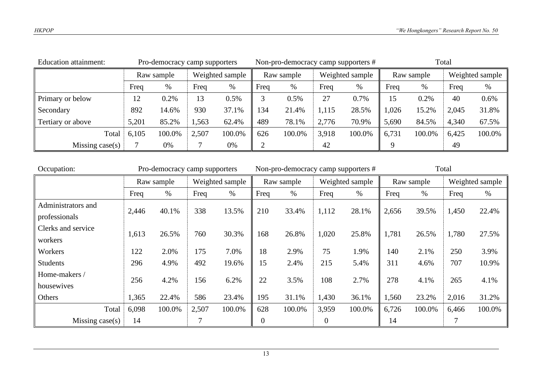| <b>Education attainment:</b> |            | Pro-democracy camp supporters |                 |        |            | Non-pro-democracy camp supporters # |                 |        | Total      |        |                 |        |
|------------------------------|------------|-------------------------------|-----------------|--------|------------|-------------------------------------|-----------------|--------|------------|--------|-----------------|--------|
|                              | Raw sample |                               | Weighted sample |        | Raw sample |                                     | Weighted sample |        | Raw sample |        | Weighted sample |        |
|                              | Freq       | %                             | Freq            | %      | Freq       | $\%$                                | Freq            | $\%$   | Freq       | $\%$   | Freq            | $\%$   |
| Primary or below             | 12         | 0.2%                          | 13              | 0.5%   |            | 0.5%                                | 27              | 0.7%   | 15         | 0.2%   | 40              | 0.6%   |
| Secondary                    | 892        | 14.6%                         | 930             | 37.1%  | 134        | 21.4%                               | 1,115           | 28.5%  | 1,026      | 15.2%  | 2,045           | 31.8%  |
| Tertiary or above            | 5,201      | 85.2%                         | 1,563           | 62.4%  | 489        | 78.1%                               | 2,776           | 70.9%  | 5,690      | 84.5%  | 4,340           | 67.5%  |
| Total                        | 6,105      | 100.0%                        | 2,507           | 100.0% | 626        | 100.0%                              | 3,918           | 100.0% | 6,731      | 100.0% | 6,425           | 100.0% |
| Missing case $(s)$           | 0%         |                               |                 | 0%     |            |                                     | 42              |        |            |        | 49              |        |

| Occupation:        |            | Pro-democracy camp supporters |                 |        |            | Non-pro-democracy camp supporters # |                  |        | Total      |        |       |                 |
|--------------------|------------|-------------------------------|-----------------|--------|------------|-------------------------------------|------------------|--------|------------|--------|-------|-----------------|
|                    | Raw sample |                               | Weighted sample |        | Raw sample |                                     | Weighted sample  |        | Raw sample |        |       | Weighted sample |
|                    | Freq       | %                             | Freq            | %      | Freq       | $\%$                                | Freq             | $\%$   | Freq       | %      | Freq  | %               |
| Administrators and | 2,446      | 40.1%                         | 338             | 13.5%  | 210        | 33.4%                               | 1,112            | 28.1%  | 2,656      | 39.5%  | 1,450 | 22.4%           |
| professionals      |            |                               |                 |        |            |                                     |                  |        |            |        |       |                 |
| Clerks and service | 1,613      | 26.5%                         | 760             | 30.3%  | 168        | 26.8%                               | 1,020            | 25.8%  | 1,781      | 26.5%  | 1,780 | 27.5%           |
| workers            |            |                               |                 |        |            |                                     |                  |        |            |        |       |                 |
| Workers            | 122        | 2.0%                          | 175             | 7.0%   | 18         | 2.9%                                | 75               | 1.9%   | 140        | 2.1%   | 250   | 3.9%            |
| <b>Students</b>    | 296        | 4.9%                          | 492             | 19.6%  | 15         | 2.4%                                | 215              | 5.4%   | 311        | 4.6%   | 707   | 10.9%           |
| Home-makers /      | 256        | 4.2%                          | 156             | 6.2%   | 22         | 3.5%                                | 108              | 2.7%   | 278        | 4.1%   | 265   | 4.1%            |
| housewives         |            |                               |                 |        |            |                                     |                  |        |            |        |       |                 |
| Others             | 1,365      | 22.4%                         | 586             | 23.4%  | 195        | 31.1%                               | 1,430            | 36.1%  | 1,560      | 23.2%  | 2,016 | 31.2%           |
| Total              | 6,098      | 100.0%                        | 2,507           | 100.0% | 628        | 100.0%                              | 3,959            | 100.0% | 6,726      | 100.0% | 6,466 | 100.0%          |
| Missing $case(s)$  | 14         |                               | 7               |        | 0          |                                     | $\boldsymbol{0}$ |        | 14         |        |       |                 |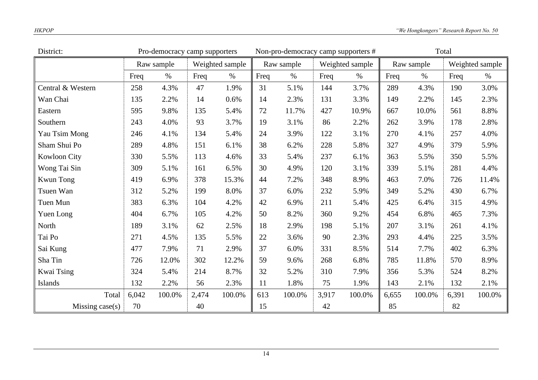| District:               |                                    | Pro-democracy camp supporters |      |                 |       | Non-pro-democracy camp supporters # |       |                 | Total |            |      |                 |
|-------------------------|------------------------------------|-------------------------------|------|-----------------|-------|-------------------------------------|-------|-----------------|-------|------------|------|-----------------|
|                         |                                    | Raw sample                    |      | Weighted sample |       | Raw sample                          |       | Weighted sample |       | Raw sample |      | Weighted sample |
|                         | Freq                               | $\%$                          | Freq | $\%$            | Freq  | $\%$                                | Freq  | $\%$            | Freq  | $\%$       | Freq | $\%$            |
| Central & Western       | 258                                | 4.3%                          | 47   | 1.9%            | 31    | 5.1%                                | 144   | 3.7%            | 289   | 4.3%       | 190  | 3.0%            |
| Wan Chai                | 135                                | 2.2%                          | 14   | 0.6%            | 14    | 2.3%                                | 131   | 3.3%            | 149   | 2.2%       | 145  | 2.3%            |
| Eastern                 | 595                                | 9.8%                          | 135  | 5.4%            | 72    | 11.7%                               | 427   | 10.9%           | 667   | 10.0%      | 561  | 8.8%            |
| Southern                | 243                                | 4.0%                          | 93   | 3.7%            | 19    | 3.1%                                | 86    | 2.2%            | 262   | 3.9%       | 178  | 2.8%            |
| Yau Tsim Mong           | 246                                | 4.1%                          | 134  | 5.4%            | 24    | 3.9%                                | 122   | 3.1%            | 270   | 4.1%       | 257  | 4.0%            |
| Sham Shui Po            | 289                                | 4.8%                          | 151  | 6.1%            | 38    | 6.2%                                | 228   | 5.8%            | 327   | 4.9%       | 379  | 5.9%            |
| <b>Kowloon City</b>     | 330                                | 5.5%                          | 113  | 4.6%            | 33    | 5.4%                                | 237   | 6.1%            | 363   | 5.5%       | 350  | 5.5%            |
| Wong Tai Sin            | 309                                | 5.1%                          | 161  | 6.5%            | 30    | 4.9%                                | 120   | 3.1%            | 339   | 5.1%       | 281  | 4.4%            |
| <b>Kwun Tong</b>        | 419                                | 6.9%                          | 378  | 15.3%           | 44    | 7.2%                                | 348   | 8.9%            | 463   | 7.0%       | 726  | 11.4%           |
| Tsuen Wan               | 312                                | 5.2%                          | 199  | 8.0%            | 37    | 6.0%                                | 232   | 5.9%            | 349   | 5.2%       | 430  | 6.7%            |
| Tuen Mun                | 383                                | 6.3%                          | 104  | 4.2%            | 42    | 6.9%                                | 211   | 5.4%            | 425   | 6.4%       | 315  | 4.9%            |
| Yuen Long               | 404                                | 6.7%                          | 105  | 4.2%            | 50    | 8.2%                                | 360   | 9.2%            | 454   | 6.8%       | 465  | 7.3%            |
| North                   | 189                                | 3.1%                          | 62   | 2.5%            | 18    | 2.9%                                | 198   | 5.1%            | 207   | 3.1%       | 261  | 4.1%            |
| Tai Po                  | 271                                | 4.5%                          | 135  | 5.5%            | 22    | 3.6%                                | 90    | 2.3%            | 293   | 4.4%       | 225  | 3.5%            |
| Sai Kung                | 477                                | 7.9%                          | 71   | 2.9%            | 37    | 6.0%                                | 331   | 8.5%            | 514   | 7.7%       | 402  | 6.3%            |
| Sha Tin                 | 726                                | 12.0%                         | 302  | 12.2%           | 59    | 9.6%                                | 268   | 6.8%            | 785   | 11.8%      | 570  | 8.9%            |
| Kwai Tsing              | 324                                | 5.4%                          | 214  | 8.7%            | 32    | 5.2%                                | 310   | 7.9%            | 356   | 5.3%       | 524  | 8.2%            |
| Islands                 | 132                                | 2.2%                          | 56   | 2.3%            | 11    | 1.8%                                | 75    | 1.9%            | 143   | 2.1%       | 132  | 2.1%            |
| Total                   | 6,042<br>2,474<br>100.0%<br>100.0% |                               | 613  | 100.0%          | 3,917 | 100.0%                              | 6,655 | 100.0%          | 6,391 | 100.0%     |      |                 |
| 70<br>Missing $case(s)$ |                                    | 40                            |      | 15              |       | 42                                  |       | 85              |       | 82         |      |                 |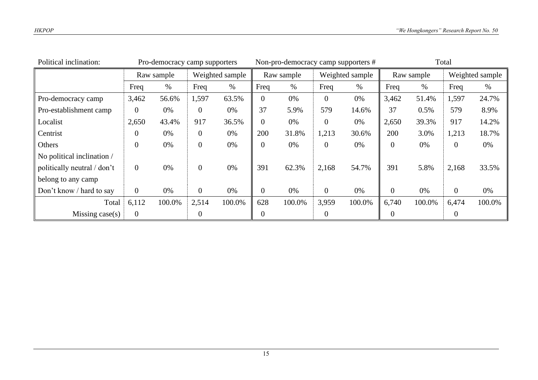| Political inclination:      |                | Pro-democracy camp supporters |                 |        |                | Non-pro-democracy camp supporters # |                 |        | Total          |        |                |                 |
|-----------------------------|----------------|-------------------------------|-----------------|--------|----------------|-------------------------------------|-----------------|--------|----------------|--------|----------------|-----------------|
|                             |                | Raw sample                    | Weighted sample |        | Raw sample     |                                     | Weighted sample |        | Raw sample     |        |                | Weighted sample |
|                             | Freq           | $\%$                          | Freq            | $\%$   | Freq           | $\%$                                | Freq            | $\%$   | Freq           | $\%$   | Freq           | $\%$            |
| Pro-democracy camp          | 3,462          | 56.6%                         | 1,597           | 63.5%  | $\theta$       | 0%                                  | $\theta$        | 0%     | 3,462          | 51.4%  | 1,597          | 24.7%           |
| Pro-establishment camp      | $\overline{0}$ | 0%                            | 0               | 0%     | 37             | 5.9%                                | 579             | 14.6%  | 37             | 0.5%   | 579            | 8.9%            |
| Localist                    | 2,650          | 43.4%                         | 917             | 36.5%  | 0              | 0%                                  | $\theta$        | 0%     | 2,650          | 39.3%  | 917            | 14.2%           |
| Centrist                    | 0              | 0%                            | $\overline{0}$  | 0%     | 200            | 31.8%                               | 1,213           | 30.6%  | 200            | 3.0%   | 1,213          | 18.7%           |
| Others                      | $\overline{0}$ | 0%                            | $\overline{0}$  | 0%     | 0              | 0%                                  | $\overline{0}$  | 0%     | $\overline{0}$ | 0%     | $\overline{0}$ | 0%              |
| No political inclination /  |                |                               |                 |        |                |                                     |                 |        |                |        |                |                 |
| politically neutral / don't | $\overline{0}$ | 0%                            | $\overline{0}$  | 0%     | 391            | 62.3%                               | 2,168           | 54.7%  | 391            | 5.8%   | 2,168          | 33.5%           |
| belong to any camp          |                |                               |                 |        |                |                                     |                 |        |                |        |                |                 |
| Don't know / hard to say    | $\overline{0}$ | 0%                            | $\overline{0}$  | 0%     | $\overline{0}$ | 0%                                  | $\overline{0}$  | 0%     | $\overline{0}$ | 0%     | $\overline{0}$ | 0%              |
| Total                       | 6,112          | 100.0%                        | 2,514           | 100.0% | 628            | 100.0%                              | 3,959           | 100.0% | 6,740          | 100.0% | 6,474          | 100.0%          |
| Missing case(s)             | $\overline{0}$ |                               | 0               |        | 0              |                                     | $\mathbf{0}$    |        | $\theta$       |        | $\overline{0}$ |                 |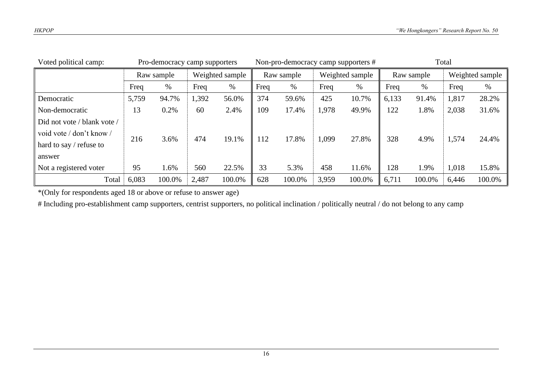| Voted political camp:       | Pro-democracy camp supporters |        |                 |        |            | Non-pro-democracy camp supporters # |                 |        | Total      |        |                 |        |
|-----------------------------|-------------------------------|--------|-----------------|--------|------------|-------------------------------------|-----------------|--------|------------|--------|-----------------|--------|
|                             | Raw sample                    |        | Weighted sample |        | Raw sample |                                     | Weighted sample |        | Raw sample |        | Weighted sample |        |
|                             | Freq                          | %      | Freq            | $\%$   | Freq       | $\%$                                | Freq            | $\%$   | Freq       | %      | Freq            | $\%$   |
| Democratic                  | 5,759                         | 94.7%  | 1,392           | 56.0%  | 374        | 59.6%                               | 425             | 10.7%  | 6,133      | 91.4%  | 1,817           | 28.2%  |
| Non-democratic              | 13                            | 0.2%   | 60              | 2.4%   | 109        | 17.4%                               | 1,978           | 49.9%  | 122        | 1.8%   | 2,038           | 31.6%  |
| Did not vote / blank vote / |                               |        |                 |        |            |                                     |                 |        |            |        |                 |        |
| void vote / don't know /    | 216                           | 3.6%   | 474             | 19.1%  | 112        | 17.8%                               | 1,099           | 27.8%  | 328        | 4.9%   | 1,574           | 24.4%  |
| hard to say $/$ refuse to   |                               |        |                 |        |            |                                     |                 |        |            |        |                 |        |
| answer                      |                               |        |                 |        |            |                                     |                 |        |            |        |                 |        |
| Not a registered voter      | 95                            | 1.6%   | 560             | 22.5%  | 33         | 5.3%                                | 458             | 11.6%  | 128        | 1.9%   | 1,018           | 15.8%  |
| Total                       | 6,083                         | 100.0% | 2,487           | 100.0% | 628        | 100.0%                              | 3,959           | 100.0% | 6,711      | 100.0% | 6,446           | 100.0% |

\*(Only for respondents aged 18 or above or refuse to answer age)

# Including pro-establishment camp supporters, centrist supporters, no political inclination / politically neutral / do not belong to any camp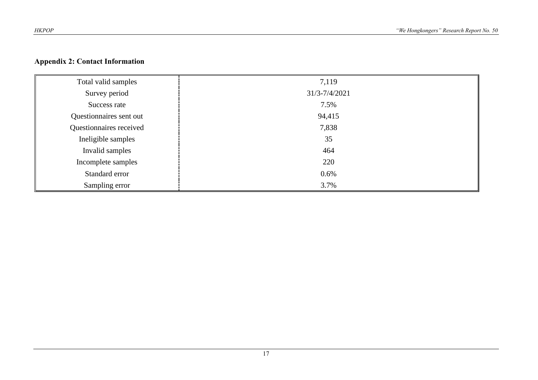#### **Appendix 2: Contact Information**

| Total valid samples     | 7,119         |
|-------------------------|---------------|
| Survey period           | 31/3-7/4/2021 |
| Success rate            | 7.5%          |
| Questionnaires sent out | 94,415        |
| Questionnaires received | 7,838         |
| Ineligible samples      | 35            |
| Invalid samples         | 464           |
| Incomplete samples      | 220           |
| Standard error          | 0.6%          |
| Sampling error          | 3.7%          |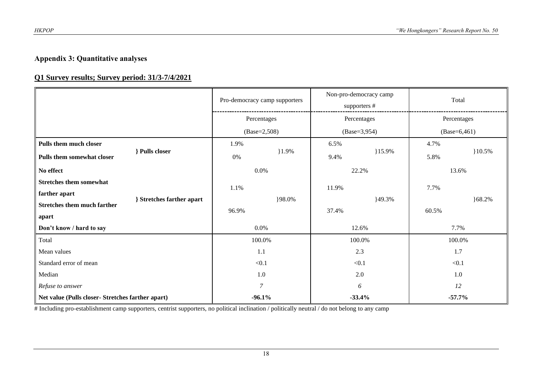#### **Appendix 3: Quantitative analyses**

#### **Q1 Survey results; Survey period: 31/3-7/4/2021**

|                                                   | Pro-democracy camp supporters |         | Non-pro-democracy camp<br>supporters # |        | Total          |            |
|---------------------------------------------------|-------------------------------|---------|----------------------------------------|--------|----------------|------------|
|                                                   | Percentages                   |         | Percentages                            |        | Percentages    |            |
|                                                   | $(Base=2,508)$                |         | $(Base=3,954)$                         |        | $(Base=6,461)$ |            |
| Pulls them much closer                            | 1.9%                          |         | 6.5%                                   |        | 4.7%           |            |
| Pulls closer<br>Pulls them somewhat closer        | 0%                            | $1.9\%$ | $15.9\%$<br>9.4%                       |        | 5.8%           | $10.5\%$   |
| No effect                                         | 0.0%                          |         | 22.2%                                  |        | 13.6%          |            |
| <b>Stretches them somewhat</b>                    | 1.1%                          |         | 11.9%                                  |        | 7.7%           |            |
| farther apart<br>} Stretches farther apart        |                               | }98.0%  |                                        | }49.3% |                | ${68.2\%}$ |
| <b>Stretches them much farther</b>                | 96.9%                         |         | 37.4%                                  |        | 60.5%          |            |
| apart                                             |                               |         |                                        |        |                |            |
| 0.0%<br>Don't know / hard to say                  |                               |         | 12.6%                                  |        | 7.7%           |            |
| Total                                             | 100.0%                        |         | 100.0%                                 |        | 100.0%         |            |
| Mean values                                       | 1.1                           |         | 2.3                                    |        | 1.7            |            |
| Standard error of mean                            | $<0.1$                        |         | < 0.1                                  |        | < 0.1          |            |
| Median                                            | 1.0                           |         | 2.0                                    |        | 1.0            |            |
| Refuse to answer                                  | $\overline{7}$                |         | 6                                      |        | 12             |            |
| Net value (Pulls closer- Stretches farther apart) | $-96.1%$                      |         | $-33.4%$                               |        | $-57.7%$       |            |

# Including pro-establishment camp supporters, centrist supporters, no political inclination / politically neutral / do not belong to any camp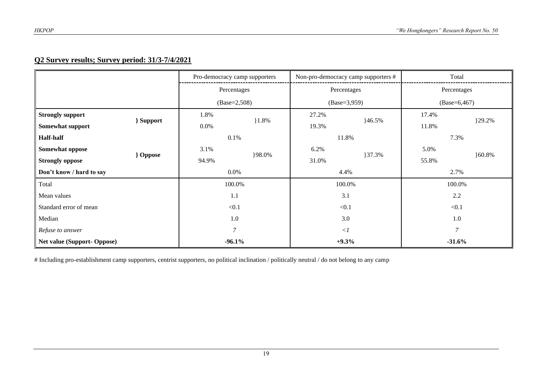#### **Q2 Survey results; Survey period: 31/3-7/4/2021**

|                                         |          | Pro-democracy camp supporters |         | Non-pro-democracy camp supporters # |          | Total          |  |
|-----------------------------------------|----------|-------------------------------|---------|-------------------------------------|----------|----------------|--|
|                                         |          | Percentages                   |         | Percentages                         |          | Percentages    |  |
|                                         |          | $(Base=2,508)$                |         | $(Base=3,959)$                      |          | $(Base=6,467)$ |  |
| <b>Strongly support</b>                 | 1.8%     |                               | 27.2%   |                                     | 17.4%    | }29.2%         |  |
| Support<br>Somewhat support             | $0.0\%$  | $1.8\%$                       | 19.3%   | $46.5\%$                            | 11.8%    |                |  |
| <b>Half-half</b>                        |          | 0.1%                          |         | 11.8%                               |          | 7.3%           |  |
| Somewhat oppose                         | 3.1%     |                               | 6.2%    |                                     | 5.0%     |                |  |
| <b>Oppose</b><br><b>Strongly oppose</b> | 94.9%    | }98.0%                        | 31.0%   | }37.3%                              | 55.8%    | }60.8%         |  |
| Don't know / hard to say                |          | $0.0\%$                       |         | 4.4%                                |          | 2.7%           |  |
| Total                                   |          | 100.0%                        |         | 100.0%                              |          | 100.0%         |  |
| Mean values                             |          | 1.1                           |         | 3.1                                 |          | 2.2            |  |
| Standard error of mean                  |          | < 0.1                         |         | < 0.1                               |          | < 0.1          |  |
| Median                                  |          | 1.0                           |         | 3.0                                 |          | 1.0            |  |
| Refuse to answer                        |          | $\overline{7}$                |         | $\langle$                           |          | $\overline{7}$ |  |
| <b>Net value (Support- Oppose)</b>      | $-96.1%$ |                               | $+9.3%$ |                                     | $-31.6%$ |                |  |

# Including pro-establishment camp supporters, centrist supporters, no political inclination / politically neutral / do not belong to any camp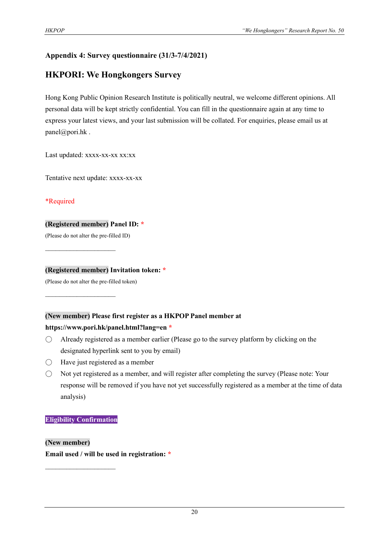#### **Appendix 4: Survey questionnaire (31/3-7/4/2021)**

#### **HKPORI: We Hongkongers Survey**

Hong Kong Public Opinion Research Institute is politically neutral, we welcome different opinions. All personal data will be kept strictly confidential. You can fill in the questionnaire again at any time to express your latest views, and your last submission will be collated. For enquiries, please email us at panel@pori.hk .

Last updated: xxxx-xx-xx xx:xx

Tentative next update: xxxx-xx-xx

#### \*Required

#### **(Registered member) Panel ID: \***

(Please do not alter the pre-filled ID)

 $\mathcal{L}_\text{max}$  , where  $\mathcal{L}_\text{max}$ 

 $\mathcal{L}_\text{max}$  , where  $\mathcal{L}_\text{max}$ 

#### **(Registered member) Invitation token: \***

(Please do not alter the pre-filled token)

#### **(New member) Please first register as a HKPOP Panel member at**

#### **https://www.pori.hk/panel.html?lang=en \***

- $\bigcirc$  Already registered as a member earlier (Please go to the survey platform by clicking on the designated hyperlink sent to you by email)
- $\bigcirc$  Have just registered as a member
- Not yet registered as a member, and will register after completing the survey (Please note: Your response will be removed if you have not yet successfully registered as a member at the time of data analysis)

#### **Eligibility Confirmation**

 $\mathcal{L}_\text{max}$ 

**(New member) Email used / will be used in registration: \***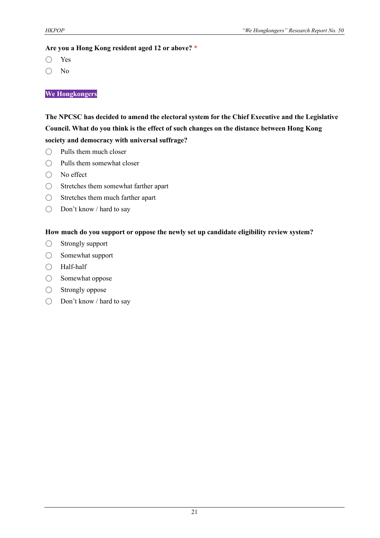#### **Are you a Hong Kong resident aged 12 or above? \***

- Yes
- No

#### **We Hongkongers**

#### **The NPCSC has decided to amend the electoral system for the Chief Executive and the Legislative Council. What do you think is the effect of such changes on the distance between Hong Kong society and democracy with universal suffrage?**

- $\bigcap$  Pulls them much closer
- Pulls them somewhat closer
- No effect
- Stretches them somewhat farther apart
- Stretches them much farther apart
- Don't know / hard to say

#### **How much do you support or oppose the newly set up candidate eligibility review system?**

- Strongly support
- Somewhat support
- Half-half
- Somewhat oppose
- Strongly oppose
- Don't know / hard to say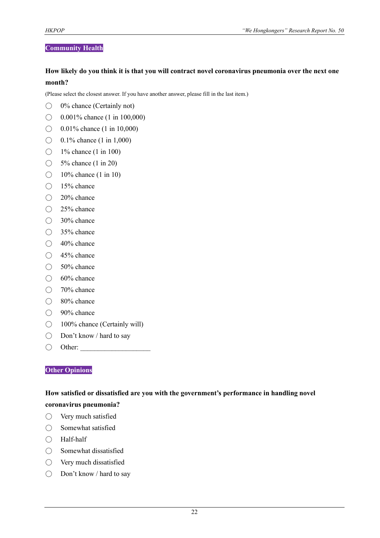#### **Community Health**

#### **How likely do you think it is that you will contract novel coronavirus pneumonia over the next one month?**

(Please select the closest answer. If you have another answer, please fill in the last item.)

- $\bigcirc$  0% chance (Certainly not)
- $\bigcirc$  0.001% chance (1 in 100,000)
- $\bigcirc$  0.01% chance (1 in 10,000)
- $\bigcirc$  0.1% chance (1 in 1,000)
- $\bigcirc$  1% chance (1 in 100)
- $\bigcirc$  5% chance (1 in 20)
- $\bigcirc$  10% chance (1 in 10)
- 15% chance
- 20% chance
- 25% chance
- 30% chance
- 35% chance
- 40% chance
- 45% chance
- 50% chance
- 60% chance
- 70% chance
- 80% chance
- 90% chance
- 100% chance (Certainly will)
- Don't know / hard to say
- $\bigcirc$  Other:

#### **Other Opinions**

#### **How satisfied or dissatisfied are you with the government's performance in handling novel coronavirus pneumonia?**

- Very much satisfied
- Somewhat satisfied
- Half-half
- Somewhat dissatisfied
- Very much dissatisfied
- Don't know / hard to say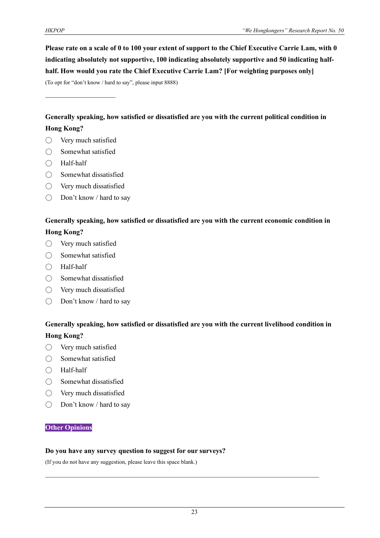**Please rate on a scale of 0 to 100 your extent of support to the Chief Executive Carrie Lam, with 0 indicating absolutely not supportive, 100 indicating absolutely supportive and 50 indicating halfhalf. How would you rate the Chief Executive Carrie Lam? [For weighting purposes only]**

(To opt for "don't know / hard to say", please input 8888)

 $\mathcal{L}_\text{max}$  , where  $\mathcal{L}_\text{max}$ 

**Generally speaking, how satisfied or dissatisfied are you with the current political condition in Hong Kong?**

- $\bigcirc$  Very much satisfied
- Somewhat satisfied
- Half-half
- Somewhat dissatisfied
- Very much dissatisfied
- Don't know / hard to say

#### **Generally speaking, how satisfied or dissatisfied are you with the current economic condition in Hong Kong?**

- Very much satisfied
- Somewhat satisfied
- Half-half
- $\bigcirc$  Somewhat dissatisfied
- Very much dissatisfied
- Don't know / hard to say

#### **Generally speaking, how satisfied or dissatisfied are you with the current livelihood condition in Hong Kong?**

- Very much satisfied
- Somewhat satisfied
- Half-half
- Somewhat dissatisfied
- Very much dissatisfied
- Don't know / hard to say

#### **Other Opinions**

#### **Do you have any survey question to suggest for our surveys?**

(If you do not have any suggestion, please leave this space blank.)

 $\mathcal{L}_\text{max}$  and  $\mathcal{L}_\text{max}$  and  $\mathcal{L}_\text{max}$  and  $\mathcal{L}_\text{max}$  and  $\mathcal{L}_\text{max}$  and  $\mathcal{L}_\text{max}$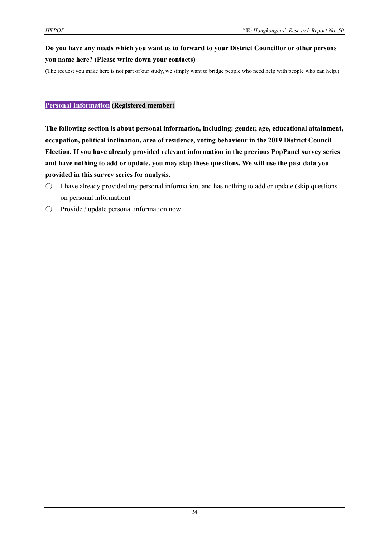#### **Do you have any needs which you want us to forward to your District Councillor or other persons you name here? (Please write down your contacts)**

(The request you make here is not part of our study, we simply want to bridge people who need help with people who can help.)

 $\mathcal{L}_\text{max}$  and  $\mathcal{L}_\text{max}$  and  $\mathcal{L}_\text{max}$  and  $\mathcal{L}_\text{max}$  and  $\mathcal{L}_\text{max}$  and  $\mathcal{L}_\text{max}$ 

#### **Personal Information (Registered member)**

**The following section is about personal information, including: gender, age, educational attainment, occupation, political inclination, area of residence, voting behaviour in the 2019 District Council Election. If you have already provided relevant information in the previous PopPanel survey series and have nothing to add or update, you may skip these questions. We will use the past data you provided in this survey series for analysis.**

- $\bigcirc$  I have already provided my personal information, and has nothing to add or update (skip questions on personal information)
- $\bigcirc$  Provide / update personal information now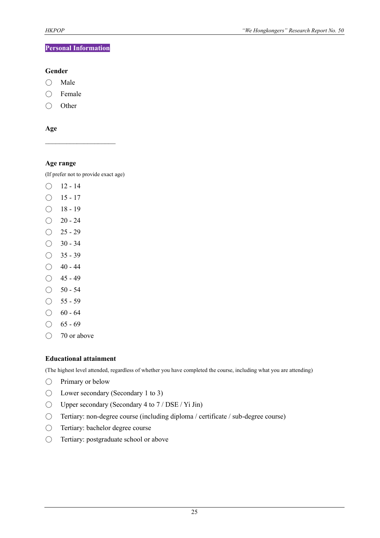#### **Personal Information**

#### **Gender**

- Male
- Female
- Other

**Age**

#### **Age range**

(If prefer not to provide exact age)

 $\mathcal{L}_\text{max}$ 

- $\bigcirc$  12 14
- $O$  15 17
- $\bigcirc$  18 19
- $\bigcirc$  20 24
- $O$  25 29
- $\bigcirc$  30 34
- $\bigcirc$  35 39
- $\bigcirc$  40 44
- $\bigcirc$  45 49
- $\bigcirc$  50 54
- $\bigcirc$  55 59
- $\bigcirc$  60 64
- $\bigcirc$  65 69
- 70 or above

#### **Educational attainment**

(The highest level attended, regardless of whether you have completed the course, including what you are attending)

- Primary or below
- Lower secondary (Secondary 1 to 3)
- $\bigcirc$  Upper secondary (Secondary 4 to 7 / DSE / Yi Jin)
- Tertiary: non-degree course (including diploma / certificate / sub-degree course)
- Tertiary: bachelor degree course
- Tertiary: postgraduate school or above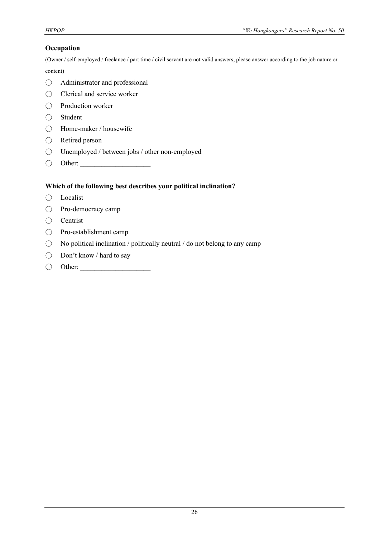#### **Occupation**

(Owner / self-employed / freelance / part time / civil servant are not valid answers, please answer according to the job nature or

content)

- Administrator and professional
- Clerical and service worker
- Production worker
- Student
- Home-maker / housewife
- Retired person
- Unemployed / between jobs / other non-employed
- Other: \_\_\_\_\_\_\_\_\_\_\_\_\_\_\_\_\_\_\_\_

#### **Which of the following best describes your political inclination?**

- Localist
- Pro-democracy camp
- Centrist
- Pro-establishment camp
- $\bigcirc$  No political inclination / politically neutral / do not belong to any camp
- Don't know / hard to say
- Other: \_\_\_\_\_\_\_\_\_\_\_\_\_\_\_\_\_\_\_\_